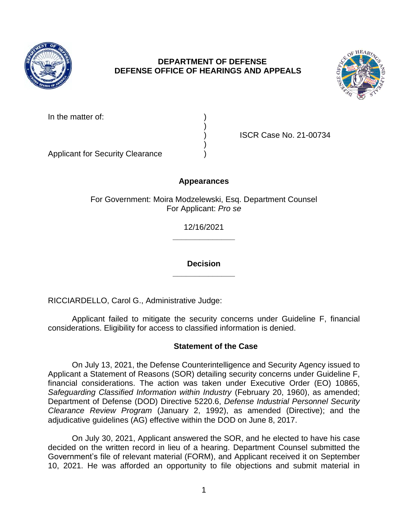

# **DEPARTMENT OF DEFENSE DEFENSE OFFICE OF HEARINGS AND APPEALS**



| In the matter of: |  |
|-------------------|--|
|-------------------|--|

) ISCR Case No. 21-00734

Applicant for Security Clearance )

# **Appearances**

)

)

For Government: Moira Modzelewski, Esq. Department Counsel For Applicant: *Pro se* 

> **\_\_\_\_\_\_\_\_\_\_\_\_\_\_**  12/16/2021

> **\_\_\_\_\_\_\_\_\_\_\_\_\_\_ Decision**

RICCIARDELLO, Carol G., Administrative Judge:

 Applicant failed to mitigate the security concerns under Guideline F, financial considerations. Eligibility for access to classified information is denied.

## **Statement of the Case**

 On July 13, 2021, the Defense Counterintelligence and Security Agency issued to Applicant a Statement of Reasons (SOR) detailing security concerns under Guideline F, financial considerations. The action was taken under Executive Order (EO) 10865, Safeguarding Classified Information within Industry (February 20, 1960), as amended; Department of Defense (DOD) Directive 5220.6, *Defense Industrial Personnel Security Clearance Review Program* (January 2, 1992), as amended (Directive); and the adjudicative guidelines (AG) effective within the DOD on June 8, 2017.

 On July 30, 2021, Applicant answered the SOR, and he elected to have his case decided on the written record in lieu of a hearing. Department Counsel submitted the Government's file of relevant material (FORM), and Applicant received it on September 10, 2021. He was afforded an opportunity to file objections and submit material in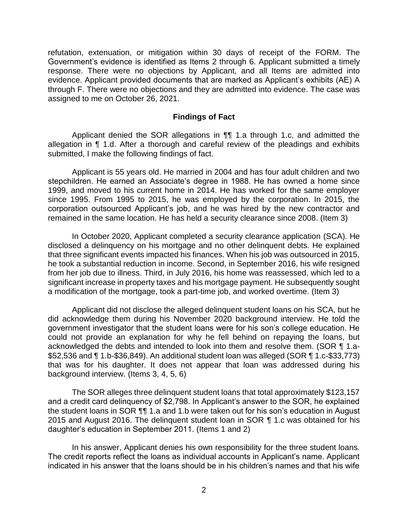refutation, extenuation, or mitigation within 30 days of receipt of the FORM. The Government's evidence is identified as Items 2 through 6. Applicant submitted a timely response. There were no objections by Applicant, and all Items are admitted into evidence. Applicant provided documents that are marked as Applicant's exhibits (AE) A through F. There were no objections and they are admitted into evidence. The case was assigned to me on October 26, 2021.

### **Findings of Fact**

 Applicant denied the SOR allegations in ¶¶ 1.a through 1.c, and admitted the allegation in ¶ 1.d. After a thorough and careful review of the pleadings and exhibits submitted, I make the following findings of fact.

 Applicant is 55 years old. He married in 2004 and has four adult children and two stepchildren. He earned an Associate's degree in 1988. He has owned a home since 1999, and moved to his current home in 2014. He has worked for the same employer since 1995. From 1995 to 2015, he was employed by the corporation. In 2015, the corporation outsourced Applicant's job, and he was hired by the new contractor and remained in the same location. He has held a security clearance since 2008. (Item 3)

 In October 2020, Applicant completed a security clearance application (SCA). He disclosed a delinquency on his mortgage and no other delinquent debts. He explained that three significant events impacted his finances. When his job was outsourced in 2015, he took a substantial reduction in income. Second, in September 2016, his wife resigned from her job due to illness. Third, in July 2016, his home was reassessed, which led to a significant increase in property taxes and his mortgage payment. He subsequently sought a modification of the mortgage, took a part-time job, and worked overtime. (Item 3)

Applicant did not disclose the alleged delinquent student loans on his SCA, but he did acknowledge them during his November 2020 background interview. He told the government investigator that the student loans were for his son's college education. He could not provide an explanation for why he fell behind on repaying the loans, but acknowledged the debts and intended to look into them and resolve them. (SOR ¶ 1.a- \$52,536 and ¶ 1.b-\$36,849). An additional student loan was alleged (SOR ¶ 1.c-\$33,773) that was for his daughter. It does not appear that loan was addressed during his background interview. (Items 3, 4, 5, 6)

 The SOR alleges three delinquent student loans that total approximately \$123,157 the student loans in SOR ¶¶ 1.a and 1.b were taken out for his son's education in August 2015 and August 2016. The delinquent student loan in SOR ¶ 1.c was obtained for his and a credit card delinquency of \$2,798. In Applicant's answer to the SOR, he explained daughter's education in September 2011. (Items 1 and 2)

 In his answer, Applicant denies his own responsibility for the three student loans. indicated in his answer that the loans should be in his children's names and that his wife The credit reports reflect the loans as individual accounts in Applicant's name. Applicant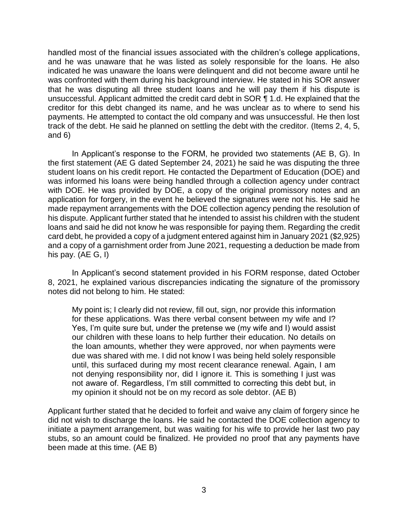handled most of the financial issues associated with the children's college applications, and he was unaware that he was listed as solely responsible for the loans. He also indicated he was unaware the loans were delinquent and did not become aware until he was confronted with them during his background interview. He stated in his SOR answer that he was disputing all three student loans and he will pay them if his dispute is unsuccessful. Applicant admitted the credit card debt in SOR ¶ 1.d. He explained that the creditor for this debt changed its name, and he was unclear as to where to send his payments. He attempted to contact the old company and was unsuccessful. He then lost track of the debt. He said he planned on settling the debt with the creditor. (Items 2, 4, 5, and 6)

 In Applicant's response to the FORM, he provided two statements (AE B, G). In the first statement (AE G dated September 24, 2021) he said he was disputing the three was informed his loans were being handled through a collection agency under contract with DOE. He was provided by DOE, a copy of the original promissory notes and an application for forgery, in the event he believed the signatures were not his. He said he made repayment arrangements with the DOE collection agency pending the resolution of his dispute. Applicant further stated that he intended to assist his children with the student loans and said he did not know he was responsible for paying them. Regarding the credit card debt, he provided a copy of a judgment entered against him in January 2021 (\$2,925) and a copy of a garnishment order from June 2021, requesting a deduction be made from student loans on his credit report. He contacted the Department of Education (DOE) and his pay. (AE G, I)

 8, 2021, he explained various discrepancies indicating the signature of the promissory In Applicant's second statement provided in his FORM response, dated October notes did not belong to him. He stated:

My point is; I clearly did not review, fill out, sign, nor provide this information for these applications. Was there verbal consent between my wife and I? Yes, I'm quite sure but, under the pretense we (my wife and I) would assist our children with these loans to help further their education. No details on the loan amounts, whether they were approved, nor when payments were due was shared with me. I did not know I was being held solely responsible until, this surfaced during my most recent clearance renewal. Again, I am not denying responsibility nor, did I ignore it. This is something I just was not aware of. Regardless, I'm still committed to correcting this debt but, in my opinion it should not be on my record as sole debtor. (AE B)

 Applicant further stated that he decided to forfeit and waive any claim of forgery since he did not wish to discharge the loans. He said he contacted the DOE collection agency to initiate a payment arrangement, but was waiting for his wife to provide her last two pay stubs, so an amount could be finalized. He provided no proof that any payments have been made at this time. (AE B)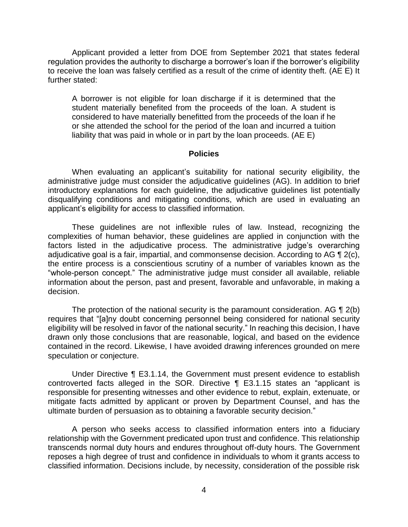Applicant provided a letter from DOE from September 2021 that states federal regulation provides the authority to discharge a borrower's loan if the borrower's eligibility to receive the loan was falsely certified as a result of the crime of identity theft. (AE E) It further stated:

 A borrower is not eligible for loan discharge if it is determined that the student materially benefited from the proceeds of the loan. A student is considered to have materially benefitted from the proceeds of the loan if he or she attended the school for the period of the loan and incurred a tuition liability that was paid in whole or in part by the loan proceeds. (AE E)

#### **Policies**

 administrative judge must consider the adjudicative guidelines (AG). In addition to brief introductory explanations for each guideline, the adjudicative guidelines list potentially disqualifying conditions and mitigating conditions, which are used in evaluating an When evaluating an applicant's suitability for national security eligibility, the applicant's eligibility for access to classified information.

 These guidelines are not inflexible rules of law. Instead, recognizing the complexities of human behavior, these guidelines are applied in conjunction with the factors listed in the adjudicative process. The administrative judge's overarching adjudicative goal is a fair, impartial, and commonsense decision. According to AG  $\P$  2(c), the entire process is a conscientious scrutiny of a number of variables known as the "whole-person concept." The administrative judge must consider all available, reliable information about the person, past and present, favorable and unfavorable, in making a decision.

The protection of the national security is the paramount consideration. AG  $\P$  2(b) eligibility will be resolved in favor of the national security." In reaching this decision, I have drawn only those conclusions that are reasonable, logical, and based on the evidence contained in the record. Likewise, I have avoided drawing inferences grounded on mere requires that "[a]ny doubt concerning personnel being considered for national security speculation or conjecture.

 Under Directive ¶ E3.1.14, the Government must present evidence to establish controverted facts alleged in the SOR. Directive ¶ E3.1.15 states an "applicant is responsible for presenting witnesses and other evidence to rebut, explain, extenuate, or mitigate facts admitted by applicant or proven by Department Counsel, and has the ultimate burden of persuasion as to obtaining a favorable security decision."

 A person who seeks access to classified information enters into a fiduciary relationship with the Government predicated upon trust and confidence. This relationship transcends normal duty hours and endures throughout off-duty hours. The Government reposes a high degree of trust and confidence in individuals to whom it grants access to classified information. Decisions include, by necessity, consideration of the possible risk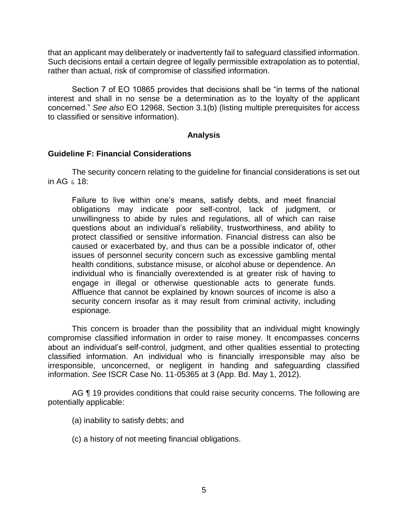that an applicant may deliberately or inadvertently fail to safeguard classified information. Such decisions entail a certain degree of legally permissible extrapolation as to potential, rather than actual, risk of compromise of classified information.

Section 7 of EO 10865 provides that decisions shall be "in terms of the national interest and shall in no sense be a determination as to the loyalty of the applicant concerned." *See also* EO 12968, Section 3.1(b) (listing multiple prerequisites for access to classified or sensitive information).

## **Analysis**

## **Guideline F: Financial Considerations**

 The security concern relating to the guideline for financial considerations is set out in AG & 18:

Failure to live within one's means, satisfy debts, and meet financial obligations may indicate poor self-control, lack of judgment, or unwillingness to abide by rules and regulations, all of which can raise questions about an individual's reliability, trustworthiness, and ability to protect classified or sensitive information. Financial distress can also be caused or exacerbated by, and thus can be a possible indicator of, other issues of personnel security concern such as excessive gambling mental health conditions, substance misuse, or alcohol abuse or dependence. An individual who is financially overextended is at greater risk of having to engage in illegal or otherwise questionable acts to generate funds. Affluence that cannot be explained by known sources of income is also a security concern insofar as it may result from criminal activity, including espionage.

 This concern is broader than the possibility that an individual might knowingly compromise classified information in order to raise money. It encompasses concerns about an individual's self-control, judgment, and other qualities essential to protecting classified information. An individual who is financially irresponsible may also be irresponsible, unconcerned, or negligent in handing and safeguarding classified information. *See* ISCR Case No. 11-05365 at 3 (App. Bd. May 1, 2012).

AG ¶ 19 provides conditions that could raise security concerns. The following are potentially applicable:

- (a) inability to satisfy debts; and
- (c) a history of not meeting financial obligations.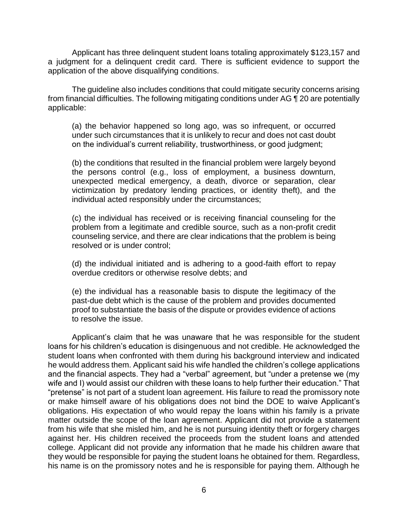a judgment for a delinquent credit card. There is sufficient evidence to support the Applicant has three delinquent student loans totaling approximately \$123,157 and application of the above disqualifying conditions.

 The guideline also includes conditions that could mitigate security concerns arising from financial difficulties. The following mitigating conditions under AG ¶ 20 are potentially applicable:

(a) the behavior happened so long ago, was so infrequent, or occurred under such circumstances that it is unlikely to recur and does not cast doubt on the individual's current reliability, trustworthiness, or good judgment;

 (b) the conditions that resulted in the financial problem were largely beyond the persons control (e.g., loss of employment, a business downturn, unexpected medical emergency, a death, divorce or separation, clear victimization by predatory lending practices, or identity theft), and the individual acted responsibly under the circumstances;

 (c) the individual has received or is receiving financial counseling for the problem from a legitimate and credible source, such as a non-profit credit counseling service, and there are clear indications that the problem is being resolved or is under control;

 (d) the individual initiated and is adhering to a good-faith effort to repay overdue creditors or otherwise resolve debts; and

 (e) the individual has a reasonable basis to dispute the legitimacy of the proof to substantiate the basis of the dispute or provides evidence of actions past-due debt which is the cause of the problem and provides documented to resolve the issue.

 Applicant's claim that he was unaware that he was responsible for the student loans for his children's education is disingenuous and not credible. He acknowledged the student loans when confronted with them during his background interview and indicated he would address them. Applicant said his wife handled the children's college applications and the financial aspects. They had a "verbal" agreement, but "under a pretense we (my wife and I) would assist our children with these loans to help further their education." That "pretense" is not part of a student loan agreement. His failure to read the promissory note or make himself aware of his obligations does not bind the DOE to waive Applicant's obligations. His expectation of who would repay the loans within his family is a private matter outside the scope of the loan agreement. Applicant did not provide a statement against her. His children received the proceeds from the student loans and attended college. Applicant did not provide any information that he made his children aware that they would be responsible for paying the student loans he obtained for them. Regardless, his name is on the promissory notes and he is responsible for paying them. Although he from his wife that she misled him, and he is not pursuing identity theft or forgery charges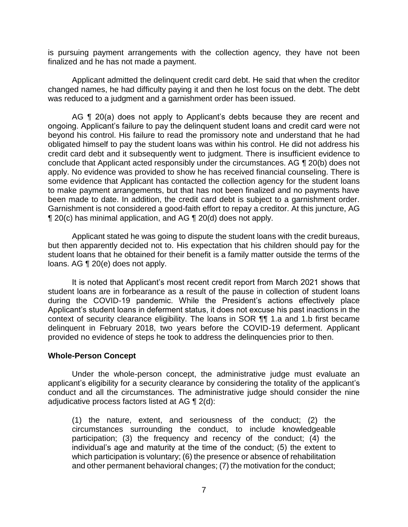is pursuing payment arrangements with the collection agency, they have not been finalized and he has not made a payment.

 Applicant admitted the delinquent credit card debt. He said that when the creditor changed names, he had difficulty paying it and then he lost focus on the debt. The debt was reduced to a judgment and a garnishment order has been issued.

AG ¶ 20(a) does not apply to Applicant's debts because they are recent and ongoing. Applicant's failure to pay the delinquent student loans and credit card were not beyond his control. His failure to read the promissory note and understand that he had obligated himself to pay the student loans was within his control. He did not address his credit card debt and it subsequently went to judgment. There is insufficient evidence to conclude that Applicant acted responsibly under the circumstances. AG ¶ 20(b) does not apply. No evidence was provided to show he has received financial counseling. There is some evidence that Applicant has contacted the collection agency for the student loans to make payment arrangements, but that has not been finalized and no payments have been made to date. In addition, the credit card debt is subject to a garnishment order. Garnishment is not considered a good-faith effort to repay a creditor. At this juncture, AG ¶ 20(c) has minimal application, and AG ¶ 20(d) does not apply.

 Applicant stated he was going to dispute the student loans with the credit bureaus, but then apparently decided not to. His expectation that his children should pay for the student loans that he obtained for their benefit is a family matter outside the terms of the loans. AG ¶ 20(e) does not apply.

 It is noted that Applicant's most recent credit report from March 2021 shows that student loans are in forbearance as a result of the pause in collection of student loans during the COVID-19 pandemic. While the President's actions effectively place Applicant's student loans in deferment status, it does not excuse his past inactions in the context of security clearance eligibility. The loans in SOR ¶¶ 1.a and 1.b first became delinquent in February 2018, two years before the COVID-19 deferment. Applicant provided no evidence of steps he took to address the delinquencies prior to then.

### **Whole-Person Concept**

 Under the whole-person concept, the administrative judge must evaluate an applicant's eligibility for a security clearance by considering the totality of the applicant's conduct and all the circumstances. The administrative judge should consider the nine adjudicative process factors listed at AG ¶ 2(d):

(1) the nature, extent, and seriousness of the conduct; (2) the circumstances surrounding the conduct, to include knowledgeable participation; (3) the frequency and recency of the conduct; (4) the individual's age and maturity at the time of the conduct; (5) the extent to which participation is voluntary; (6) the presence or absence of rehabilitation and other permanent behavioral changes; (7) the motivation for the conduct;